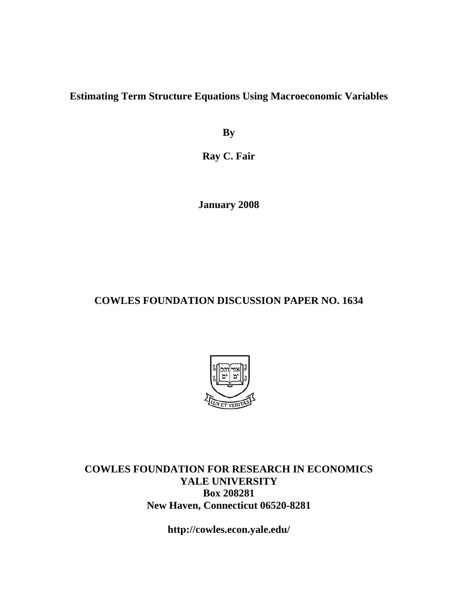**Estimating Term Structure Equations Using Macroeconomic Variables** 

**By** 

**Ray C. Fair** 

**January 2008** 

# **COWLES FOUNDATION DISCUSSION PAPER NO. 1634**



**COWLES FOUNDATION FOR RESEARCH IN ECONOMICS YALE UNIVERSITY Box 208281 New Haven, Connecticut 06520-8281** 

**http://cowles.econ.yale.edu/**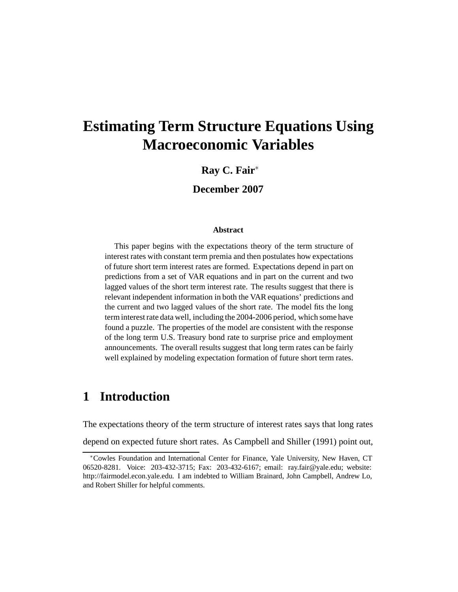# **Estimating Term Structure Equations Using Macroeconomic Variables**

### **Ray C. Fair**<sup>∗</sup>

**December 2007**

### **Abstract**

This paper begins with the expectations theory of the term structure of interest rates with constant term premia and then postulates how expectations of future short term interest rates are formed. Expectations depend in part on predictions from a set of VAR equations and in part on the current and two lagged values of the short term interest rate. The results suggest that there is relevant independent information in both the VAR equations' predictions and the current and two lagged values of the short rate. The model fits the long term interest rate data well, including the 2004-2006 period, which some have found a puzzle. The properties of the model are consistent with the response of the long term U.S. Treasury bond rate to surprise price and employment announcements. The overall results suggest that long term rates can be fairly well explained by modeling expectation formation of future short term rates.

# **1 Introduction**

The expectations theory of the term structure of interest rates says that long rates

depend on expected future short rates. As Campbell and Shiller (1991) point out,

<sup>∗</sup>Cowles Foundation and International Center for Finance, Yale University, New Haven, CT 06520-8281. Voice: 203-432-3715; Fax: 203-432-6167; email: ray.fair@yale.edu; website: http://fairmodel.econ.yale.edu. I am indebted to William Brainard, John Campbell, Andrew Lo, and Robert Shiller for helpful comments.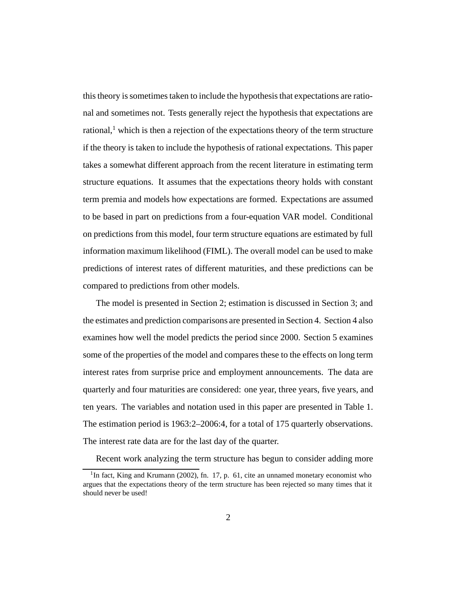this theory is sometimes taken to include the hypothesis that expectations are rational and sometimes not. Tests generally reject the hypothesis that expectations are rational, $<sup>1</sup>$  which is then a rejection of the expectations theory of the term structure</sup> if the theory is taken to include the hypothesis of rational expectations. This paper takes a somewhat different approach from the recent literature in estimating term structure equations. It assumes that the expectations theory holds with constant term premia and models how expectations are formed. Expectations are assumed to be based in part on predictions from a four-equation VAR model. Conditional on predictions from this model, four term structure equations are estimated by full information maximum likelihood (FIML). The overall model can be used to make predictions of interest rates of different maturities, and these predictions can be compared to predictions from other models.

The model is presented in Section 2; estimation is discussed in Section 3; and the estimates and prediction comparisons are presented in Section 4. Section 4 also examines how well the model predicts the period since 2000. Section 5 examines some of the properties of the model and compares these to the effects on long term interest rates from surprise price and employment announcements. The data are quarterly and four maturities are considered: one year, three years, five years, and ten years. The variables and notation used in this paper are presented in Table 1. The estimation period is 1963:2–2006:4, for a total of 175 quarterly observations. The interest rate data are for the last day of the quarter.

Recent work analyzing the term structure has begun to consider adding more

<sup>&</sup>lt;sup>1</sup>In fact, King and Krumann (2002), fn. 17, p. 61, cite an unnamed monetary economist who argues that the expectations theory of the term structure has been rejected so many times that it should never be used!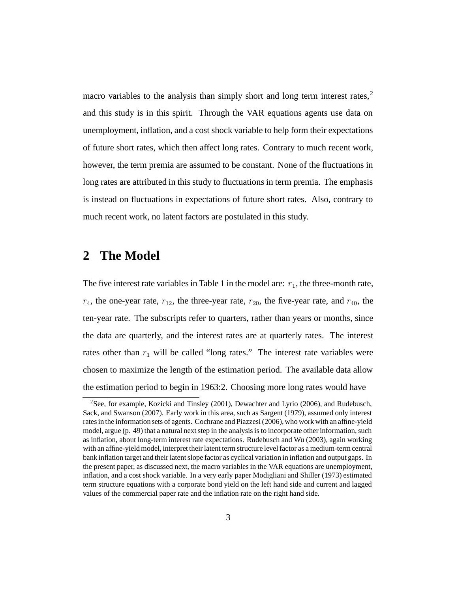macro variables to the analysis than simply short and long term interest rates,<sup>2</sup> and this study is in this spirit. Through the VAR equations agents use data on unemployment, inflation, and a cost shock variable to help form their expectations of future short rates, which then affect long rates. Contrary to much recent work, however, the term premia are assumed to be constant. None of the fluctuations in long rates are attributed in this study to fluctuations in term premia. The emphasis is instead on fluctuations in expectations of future short rates. Also, contrary to much recent work, no latent factors are postulated in this study.

# **2 The Model**

The five interest rate variables in Table 1 in the model are:  $r_1$ , the three-month rate,  $r_4$ , the one-year rate,  $r_{12}$ , the three-year rate,  $r_{20}$ , the five-year rate, and  $r_{40}$ , the ten-year rate. The subscripts refer to quarters, rather than years or months, since the data are quarterly, and the interest rates are at quarterly rates. The interest rates other than  $r_1$  will be called "long rates." The interest rate variables were chosen to maximize the length of the estimation period. The available data allow the estimation period to begin in 1963:2. Choosing more long rates would have

<sup>2</sup>See, for example, Kozicki and Tinsley (2001), Dewachter and Lyrio (2006), and Rudebusch, Sack, and Swanson (2007). Early work in this area, such as Sargent (1979), assumed only interest rates in the information sets of agents. Cochrane and Piazzesi (2006), who work with an affine-yield model, argue (p. 49) that a natural next step in the analysis is to incorporate other information, such as inflation, about long-term interest rate expectations. Rudebusch and Wu (2003), again working with an affine-yield model, interpret their latent term structure level factor as a medium-term central bank inflation target and their latent slope factor as cyclical variation in inflation and output gaps. In the present paper, as discussed next, the macro variables in the VAR equations are unemployment, inflation, and a cost shock variable. In a very early paper Modigliani and Shiller (1973) estimated term structure equations with a corporate bond yield on the left hand side and current and lagged values of the commercial paper rate and the inflation rate on the right hand side.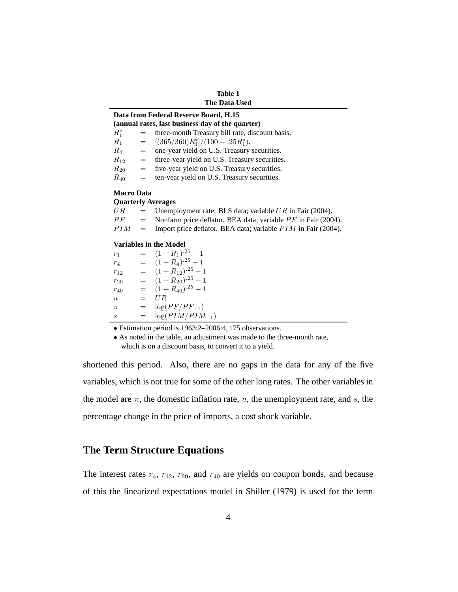| Table 1              |  |  |  |
|----------------------|--|--|--|
| <b>The Data Used</b> |  |  |  |

### **Data from Federal Reserve Board, H.15**

| (annual rates, last business day of the quarter) |     |                                                 |  |
|--------------------------------------------------|-----|-------------------------------------------------|--|
| $R_1^*$                                          | $=$ | three-month Treasury bill rate, discount basis. |  |
| $R_1$                                            | $=$ | $[(365/360)R_1^*]/(100-.25R_1^*).$              |  |
| $R_4$                                            | $=$ | one-year yield on U.S. Treasury securities.     |  |
| $R_{12}$                                         | $=$ | three-year yield on U.S. Treasury securities.   |  |
| $R_{20}$                                         | $=$ | five-year yield on U.S. Treasury securities.    |  |
| $R_{40}$                                         | $=$ | ten-year yield on U.S. Treasury securities.     |  |
|                                                  |     |                                                 |  |

### **Macro Data**

#### **Quarterly Averages**

| U R- | $=$ Unemployment rate. BLS data; variable UR in Fair (2004).             |
|------|--------------------------------------------------------------------------|
| PF   | $=$ Nonfarm price deflator. BEA data; variable <i>PF</i> in Fair (2004). |
| PIM  | $=$ Import price deflator. BEA data; variable <i>PIM</i> in Fair (2004). |
|      |                                                                          |

#### **Variables in the Model**

 $r_1$  =  $(1+R_1)^{.25} - 1$ <br>  $r_4$  =  $(1+R_4)^{.25} - 1$  $r_4$  =  $(1+R_4)^{.25} - 1$ <br>  $r_{12}$  =  $(1+R_{12})^{.25} - 1$  $r_{12} = (1 + R_{12})^{.25} - 1$ <br> $r_{22} = (1 + R_{22})^{.25} - 1$  $r_{20} = (1 + R_{20})^{.25} - 1$ <br> $r_{10} = (1 + R_{10})^{.25} - 1$  $r_{40}$  =  $(1 + R_{40})^{.25} - 1$ <br>  $u$  =  $U R$ u =  $UR$ <br>  $\pi$  =  $log($  $\pi$  =  $\log(PF/PF_{-1})$ <br>s =  $\log(PIM/PIM)$  $=$  log( $PIM/PIM_{-1}$ )

• Estimation period is 1963:2–2006:4, 175 observations.

• As noted in the table, an adjustment was made to the three-month rate, which is on a discount basis, to convert it to a yield.

shortened this period. Also, there are no gaps in the data for any of the five variables, which is not true for some of the other long rates. The other variables in the model are  $\pi$ , the domestic inflation rate, u, the unemployment rate, and s, the percentage change in the price of imports, a cost shock variable.

## **The Term Structure Equations**

The interest rates  $r_4$ ,  $r_{12}$ ,  $r_{20}$ , and  $r_{40}$  are yields on coupon bonds, and because of this the linearized expectations model in Shiller (1979) is used for the term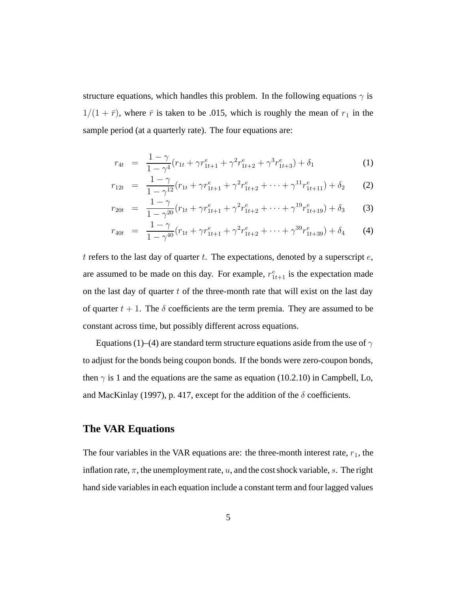structure equations, which handles this problem. In the following equations  $\gamma$  is  $1/(1 + \bar{r})$ , where  $\bar{r}$  is taken to be .015, which is roughly the mean of  $r_1$  in the sample period (at a quarterly rate). The four equations are:

$$
r_{4t} = \frac{1 - \gamma}{1 - \gamma^4} (r_{1t} + \gamma r_{1t+1}^e + \gamma^2 r_{1t+2}^e + \gamma^3 r_{1t+3}^e) + \delta_1
$$
 (1)

$$
r_{12t} = \frac{1-\gamma}{1-\gamma^{12}}(r_{1t} + \gamma r_{1t+1}^e + \gamma^2 r_{1t+2}^e + \dots + \gamma^{11} r_{1t+11}^e) + \delta_2 \qquad (2)
$$

$$
r_{20t} = \frac{1-\gamma}{1-\gamma^{20}}(r_{1t} + \gamma r_{1t+1}^e + \gamma^2 r_{1t+2}^e + \dots + \gamma^{19} r_{1t+19}^e) + \delta_3 \tag{3}
$$

$$
r_{40t} = \frac{1-\gamma}{1-\gamma^{40}}(r_{1t} + \gamma r_{1t+1}^e + \gamma^2 r_{1t+2}^e + \dots + \gamma^{39} r_{1t+39}^e) + \delta_4 \qquad (4)
$$

t refers to the last day of quarter t. The expectations, denoted by a superscript  $e$ , are assumed to be made on this day. For example,  $r_{1t+1}^e$  is the expectation made on the last day of quarter  $t$  of the three-month rate that will exist on the last day of quarter  $t + 1$ . The  $\delta$  coefficients are the term premia. They are assumed to be constant across time, but possibly different across equations.

Equations (1)–(4) are standard term structure equations aside from the use of  $\gamma$ to adjust for the bonds being coupon bonds. If the bonds were zero-coupon bonds, then  $\gamma$  is 1 and the equations are the same as equation (10.2.10) in Campbell, Lo, and MacKinlay (1997), p. 417, except for the addition of the  $\delta$  coefficients.

## **The VAR Equations**

The four variables in the VAR equations are: the three-month interest rate,  $r_1$ , the inflation rate,  $\pi$ , the unemployment rate,  $u$ , and the cost shock variable, s. The right hand side variables in each equation include a constant term and four lagged values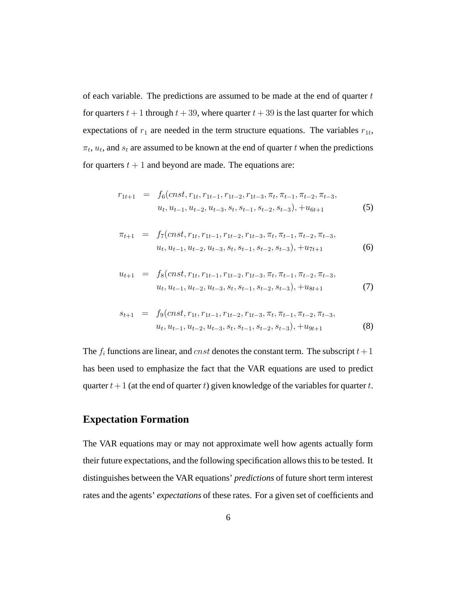of each variable. The predictions are assumed to be made at the end of quarter  $t$ for quarters  $t + 1$  through  $t + 39$ , where quarter  $t + 39$  is the last quarter for which expectations of  $r_1$  are needed in the term structure equations. The variables  $r_{1t}$ ,  $\pi_t$ ,  $u_t$ , and  $s_t$  are assumed to be known at the end of quarter t when the predictions for quarters  $t + 1$  and beyond are made. The equations are:

$$
r_{1t+1} = f_6(\text{cnst}, r_{1t}, r_{1t-1}, r_{1t-2}, r_{1t-3}, \pi_t, \pi_{t-1}, \pi_{t-2}, \pi_{t-3},
$$
  

$$
u_t, u_{t-1}, u_{t-2}, u_{t-3}, s_t, s_{t-1}, s_{t-2}, s_{t-3}), +u_{6t+1}
$$
 (5)

$$
\pi_{t+1} = f_7(\text{cnst}, r_{1t}, r_{1t-1}, r_{1t-2}, r_{1t-3}, \pi_t, \pi_{t-1}, \pi_{t-2}, \pi_{t-3},
$$
  

$$
u_t, u_{t-1}, u_{t-2}, u_{t-3}, s_t, s_{t-1}, s_{t-2}, s_{t-3}), +u_{7t+1}
$$
 (6)

$$
u_{t+1} = f_8(\text{cnst}, r_{1t}, r_{1t-1}, r_{1t-2}, r_{1t-3}, \pi_t, \pi_{t-1}, \pi_{t-2}, \pi_{t-3},
$$
  

$$
u_t, u_{t-1}, u_{t-2}, u_{t-3}, s_t, s_{t-1}, s_{t-2}, s_{t-3}), +u_{8t+1}
$$
 (7)

$$
s_{t+1} = f_9(\text{cnst}, r_{1t}, r_{1t-1}, r_{1t-2}, r_{1t-3}, \pi_t, \pi_{t-1}, \pi_{t-2}, \pi_{t-3},
$$
  

$$
u_t, u_{t-1}, u_{t-2}, u_{t-3}, s_t, s_{t-1}, s_{t-2}, s_{t-3}), +u_{9t+1}
$$
 (8)

The  $f_i$  functions are linear, and *cnst* denotes the constant term. The subscript  $t+1$ has been used to emphasize the fact that the VAR equations are used to predict quarter  $t+1$  (at the end of quarter t) given knowledge of the variables for quarter t.

## **Expectation Formation**

The VAR equations may or may not approximate well how agents actually form their future expectations, and the following specification allows this to be tested. It distinguishes between the VAR equations' *predictions* of future short term interest rates and the agents' *expectations* of these rates. For a given set of coefficients and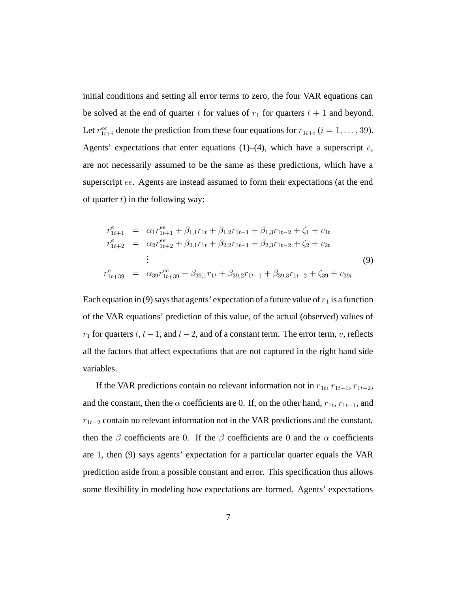initial conditions and setting all error terms to zero, the four VAR equations can be solved at the end of quarter t for values of  $r_1$  for quarters  $t + 1$  and beyond. Let  $r_{1t+i}^{ee}$  denote the prediction from these four equations for  $r_{1t+i}$  ( $i = 1, \ldots, 39$ ). Agents' expectations that enter equations  $(1)$ – $(4)$ , which have a superscript  $e$ , are not necessarily assumed to be the same as these predictions, which have a superscript ee. Agents are instead assumed to form their expectations (at the end of quarter  $t$ ) in the following way:

$$
r_{1t+1}^{e} = \alpha_{1}r_{1t+1}^{ee} + \beta_{1,1}r_{1t} + \beta_{1,2}r_{1t-1} + \beta_{1,3}r_{1t-2} + \zeta_{1} + v_{1t}
$$
  
\n
$$
r_{1t+2}^{e} = \alpha_{2}r_{1t+2}^{ee} + \beta_{2,1}r_{1t} + \beta_{2,2}r_{1t-1} + \beta_{2,3}r_{1t-2} + \zeta_{2} + v_{2t}
$$
  
\n
$$
\vdots
$$
  
\n
$$
r_{1t+39}^{e} = \alpha_{39}r_{1t+39}^{ee} + \beta_{39,1}r_{1t} + \beta_{39,2}r_{1t-1} + \beta_{39,3}r_{1t-2} + \zeta_{39} + v_{39t}
$$
  
\n(9)

Each equation in (9) says that agents' expectation of a future value of  $r_1$  is a function of the VAR equations' prediction of this value, of the actual (observed) values of  $r_1$  for quarters  $t$ ,  $t-1$ , and  $t-2$ , and of a constant term. The error term, v, reflects all the factors that affect expectations that are not captured in the right hand side variables.

If the VAR predictions contain no relevant information not in  $r_{1t}$ ,  $r_{1t-1}$ ,  $r_{1t-2}$ , and the constant, then the  $\alpha$  coefficients are 0. If, on the other hand,  $r_{1t}$ ,  $r_{1t-1}$ , and <sup>r</sup>1*t*−<sup>2</sup> contain no relevant information not in the VAR predictions and the constant, then the  $\beta$  coefficients are 0. If the  $\beta$  coefficients are 0 and the  $\alpha$  coefficients are 1, then (9) says agents' expectation for a particular quarter equals the VAR prediction aside from a possible constant and error. This specification thus allows some flexibility in modeling how expectations are formed. Agents' expectations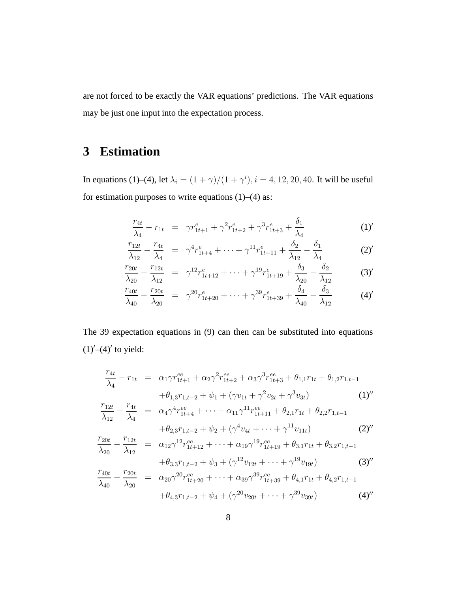are not forced to be exactly the VAR equations' predictions. The VAR equations may be just one input into the expectation process.

# **3 Estimation**

In equations (1)–(4), let  $\lambda_i = (1 + \gamma)/(1 + \gamma^i)$ ,  $i = 4, 12, 20, 40$ . It will be useful for estimation purposes to write equations (1)–(4) as:

$$
\frac{r_{4t}}{\lambda_4} - r_{1t} = \gamma r_{1t+1}^e + \gamma^2 r_{1t+2}^e + \gamma^3 r_{1t+3}^e + \frac{\delta_1}{\lambda_4}
$$
 (1)

$$
\frac{r_{12t}}{\lambda_{12}} - \frac{r_{4t}}{\lambda_4} = \gamma^4 r_{1t+4}^e + \dots + \gamma^{11} r_{1t+11}^e + \frac{\delta_2}{\lambda_{12}} - \frac{\delta_1}{\lambda_4}
$$
 (2)

$$
\frac{r_{20t}}{\lambda_{20}} - \frac{r_{12t}}{\lambda_{12}} = \gamma^{12} r_{1t+12}^e + \dots + \gamma^{19} r_{1t+19}^e + \frac{\delta_3}{\lambda_{20}} - \frac{\delta_2}{\lambda_{12}} \tag{3'}
$$

$$
\frac{r_{40t}}{\lambda_{40}} - \frac{r_{20t}}{\lambda_{20}} = \gamma^{20} r_{1t+20}^e + \dots + \gamma^{39} r_{1t+39}^e + \frac{\delta_4}{\lambda_{40}} - \frac{\delta_3}{\lambda_{12}} \tag{4'}
$$

The 39 expectation equations in (9) can then can be substituted into equations  $(1)^\prime$  –(4)<sup> $\prime$ </sup> to yield:

$$
\frac{r_{4t}}{\lambda_4} - r_{1t} = \alpha_1 \gamma r_{1t+1}^{ee} + \alpha_2 \gamma^2 r_{1t+2}^{ee} + \alpha_3 \gamma^3 r_{1t+3}^{ee} + \theta_{1,1} r_{1t} + \theta_{1,2} r_{1,t-1} \n+ \theta_{1,3} r_{1,t-2} + \psi_1 + (\gamma v_{1t} + \gamma^2 v_{2t} + \gamma^3 v_{3t}) \qquad (1)'' \n\frac{r_{12t}}{\lambda_{12}} - \frac{r_{4t}}{\lambda_4} = \alpha_4 \gamma^4 r_{1t+4}^{ee} + \dots + \alpha_{11} \gamma^{11} r_{1t+1}^{ee} + \theta_{2,1} r_{1t} + \theta_{2,2} r_{1,t-1} \n+ \theta_{2,3} r_{1,t-2} + \psi_2 + (\gamma^4 v_{4t} + \dots + \gamma^{11} v_{11t}) \qquad (2)'' \n\frac{r_{20t}}{\lambda_{20}} - \frac{r_{12t}}{\lambda_{12}} = \alpha_{12} \gamma^{12} r_{1t+12}^{ee} + \dots + \alpha_{19} \gamma^{19} r_{1t+19}^{ee} + \theta_{3,1} r_{1t} + \theta_{3,2} r_{1,t-1} \n+ \theta_{3,3} r_{1,t-2} + \psi_3 + (\gamma^{12} v_{12t} + \dots + \gamma^{19} v_{19t}) \qquad (3)'' \n\frac{r_{40t}}{\lambda_{40}} - \frac{r_{20t}}{\lambda_{20}} = \alpha_{20} \gamma^{20} r_{1t+20}^{ee} + \dots + \alpha_{39} \gamma^{39} r_{1t+39}^{ee} + \theta_{4,1} r_{1t} + \theta_{4,2} r_{1,t-1}
$$

$$
+\theta_{4,3}r_{1,t-2} + \psi_4 + (\gamma^{20}v_{20t} + \dots + \gamma^{39}v_{39t})
$$
\n(4)''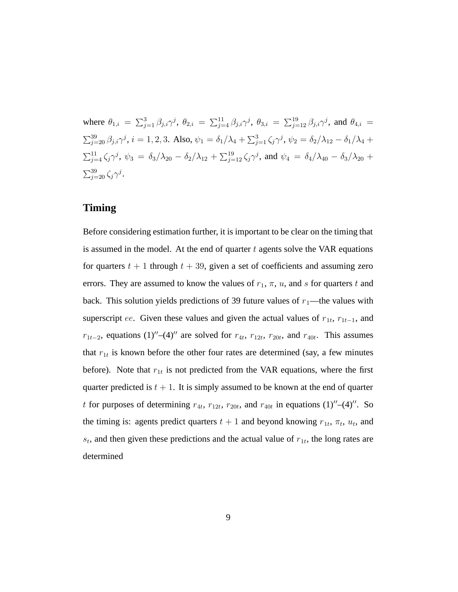where  $\theta_{1,i} = \sum_{j=1}^{3} \beta_{j,i} \gamma^j$ ,  $\theta_{2,i} = \sum_{j=4}^{11} \beta_{j,i} \gamma^j$ ,  $\theta_{3,i} = \sum_{j=12}^{19} \beta_{j,i} \gamma^j$ , and  $\theta_{4,i} =$  $\sum_{j=20}^{39} \beta_{j,i} \gamma^j$ ,  $i = 1, 2, 3$ . Also,  $\psi_1 = \delta_1/\lambda_4 + \sum_{j=1}^{3} \zeta_j \gamma^j$ ,  $\psi_2 = \delta_2/\lambda_{12} - \delta_1/\lambda_4 +$  $\sum_{j=4}^{11} \zeta_j \gamma^j$ ,  $\psi_3 = \delta_3/\lambda_{20} - \delta_2/\lambda_{12} + \sum_{j=12}^{19} \zeta_j \gamma^j$ , and  $\psi_4 = \delta_4/\lambda_{40} - \delta_3/\lambda_{20} +$  $\sum_{j=20}^{39} \zeta_j \gamma^j$ .

### **Timing**

Before considering estimation further, it is important to be clear on the timing that is assumed in the model. At the end of quarter  $t$  agents solve the VAR equations for quarters  $t + 1$  through  $t + 39$ , given a set of coefficients and assuming zero errors. They are assumed to know the values of  $r_1$ ,  $\pi$ ,  $u$ , and  $s$  for quarters  $t$  and back. This solution yields predictions of 39 future values of  $r_1$ —the values with superscript ee. Given these values and given the actual values of  $r_{1t}$ ,  $r_{1t-1}$ , and  $r_{1t-2}$ , equations (1)"–(4)" are solved for  $r_{4t}$ ,  $r_{12t}$ ,  $r_{20t}$ , and  $r_{40t}$ . This assumes that  $r_{1t}$  is known before the other four rates are determined (say, a few minutes before). Note that  $r_{1t}$  is not predicted from the VAR equations, where the first quarter predicted is  $t + 1$ . It is simply assumed to be known at the end of quarter t for purposes of determining  $r_{4t}$ ,  $r_{12t}$ ,  $r_{20t}$ , and  $r_{40t}$  in equations (1)"–(4)". So the timing is: agents predict quarters  $t + 1$  and beyond knowing  $r_{1t}$ ,  $\pi_t$ ,  $u_t$ , and  $s_t$ , and then given these predictions and the actual value of  $r_{1t}$ , the long rates are determined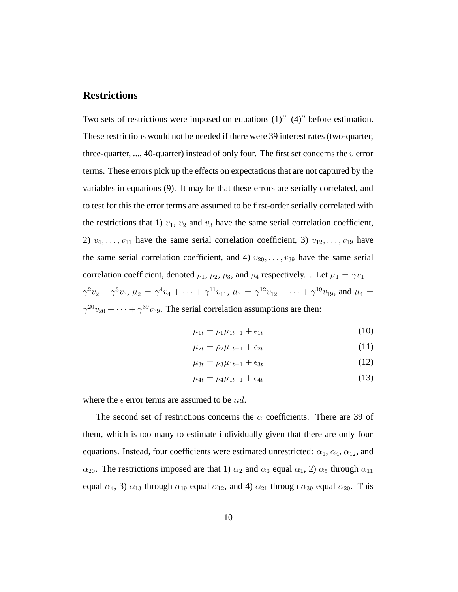### **Restrictions**

Two sets of restrictions were imposed on equations  $(1)''-(4)''$  before estimation. These restrictions would not be needed if there were 39 interest rates (two-quarter, three-quarter, ..., 40-quarter) instead of only four. The first set concerns the  $v$  error terms. These errors pick up the effects on expectations that are not captured by the variables in equations (9). It may be that these errors are serially correlated, and to test for this the error terms are assumed to be first-order serially correlated with the restrictions that 1)  $v_1$ ,  $v_2$  and  $v_3$  have the same serial correlation coefficient, 2)  $v_4, \ldots, v_{11}$  have the same serial correlation coefficient, 3)  $v_{12}, \ldots, v_{19}$  have the same serial correlation coefficient, and 4)  $v_{20}, \ldots, v_{39}$  have the same serial correlation coefficient, denoted  $\rho_1$ ,  $\rho_2$ ,  $\rho_3$ , and  $\rho_4$  respectively. . Let  $\mu_1 = \gamma v_1 + \gamma v_2$  $\gamma^2v_2 + \gamma^3v_3$ ,  $\mu_2 = \gamma^4v_4 + \cdots + \gamma^{11}v_{11}$ ,  $\mu_3 = \gamma^{12}v_{12} + \cdots + \gamma^{19}v_{19}$ , and  $\mu_4 =$  $\gamma^{20}v_{20} + \cdots + \gamma^{39}v_{39}$ . The serial correlation assumptions are then:

$$
\mu_{1t} = \rho_1 \mu_{1t-1} + \epsilon_{1t} \tag{10}
$$

$$
\mu_{2t} = \rho_2 \mu_{1t-1} + \epsilon_{2t} \tag{11}
$$

$$
\mu_{3t} = \rho_3 \mu_{1t-1} + \epsilon_{3t} \tag{12}
$$

$$
\mu_{4t} = \rho_4 \mu_{1t-1} + \epsilon_{4t} \tag{13}
$$

where the  $\epsilon$  error terms are assumed to be *iid*.

The second set of restrictions concerns the  $\alpha$  coefficients. There are 39 of them, which is too many to estimate individually given that there are only four equations. Instead, four coefficients were estimated unrestricted:  $\alpha_1, \alpha_4, \alpha_{12}$ , and  $\alpha_{20}$ . The restrictions imposed are that 1)  $\alpha_2$  and  $\alpha_3$  equal  $\alpha_1$ , 2)  $\alpha_5$  through  $\alpha_{11}$ equal  $\alpha_4$ , 3)  $\alpha_{13}$  through  $\alpha_{19}$  equal  $\alpha_{12}$ , and 4)  $\alpha_{21}$  through  $\alpha_{39}$  equal  $\alpha_{20}$ . This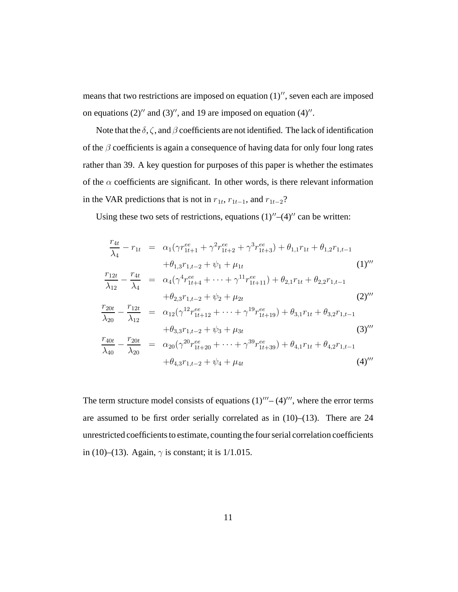means that two restrictions are imposed on equation  $(1)$ ", seven each are imposed on equations  $(2)''$  and  $(3)''$ , and 19 are imposed on equation  $(4)''$ .

Note that the  $\delta$ ,  $\zeta$ , and  $\beta$  coefficients are not identified. The lack of identification of the  $\beta$  coefficients is again a consequence of having data for only four long rates rather than 39. A key question for purposes of this paper is whether the estimates of the  $\alpha$  coefficients are significant. In other words, is there relevant information in the VAR predictions that is not in  $r_{1t}$ ,  $r_{1t-1}$ , and  $r_{1t-2}$ ?

Using these two sets of restrictions, equations  $(1)''-(4)''$  can be written:

$$
\frac{r_{4t}}{\lambda_4} - r_{1t} = \alpha_1(\gamma r_{1t+1}^{ee} + \gamma^2 r_{1t+2}^{ee} + \gamma^3 r_{1t+3}^{ee}) + \theta_{1,1}r_{1t} + \theta_{1,2}r_{1,t-1} \n+ \theta_{1,3}r_{1,t-2} + \psi_1 + \mu_{1t} \n\frac{r_{12t}}{\lambda_{12}} - \frac{r_{4t}}{\lambda_4} = \alpha_4(\gamma^4 r_{1t+4}^{ee} + \dots + \gamma^{11} r_{1t+11}^{ee}) + \theta_{2,1}r_{1t} + \theta_{2,2}r_{1,t-1} \n+ \theta_{2,3}r_{1,t-2} + \psi_2 + \mu_{2t} \n\frac{r_{20t}}{\lambda_{20}} - \frac{r_{12t}}{\lambda_{12}} = \alpha_{12}(\gamma^{12} r_{1t+12}^{ee} + \dots + \gamma^{19} r_{1t+19}^{ee}) + \theta_{3,1}r_{1t} + \theta_{3,2}r_{1,t-1} \n+ \theta_{3,3}r_{1,t-2} + \psi_3 + \mu_{3t} \n\frac{r_{40t}}{\lambda_{40}} - \frac{r_{20t}}{\lambda_{20}} = \alpha_{20}(\gamma^{20} r_{1t+20}^{ee} + \dots + \gamma^{39} r_{1t+39}^{ee}) + \theta_{4,1}r_{1t} + \theta_{4,2}r_{1,t-1} \n+ \theta_{4,3}r_{1,t-2} + \psi_4 + \mu_{4t}
$$
\n(4)

The term structure model consists of equations  $(1)'''-(4)'''$ , where the error terms are assumed to be first order serially correlated as in (10)–(13). There are 24 unrestricted coefficients to estimate, counting the four serial correlation coefficients in (10)–(13). Again,  $\gamma$  is constant; it is 1/1.015.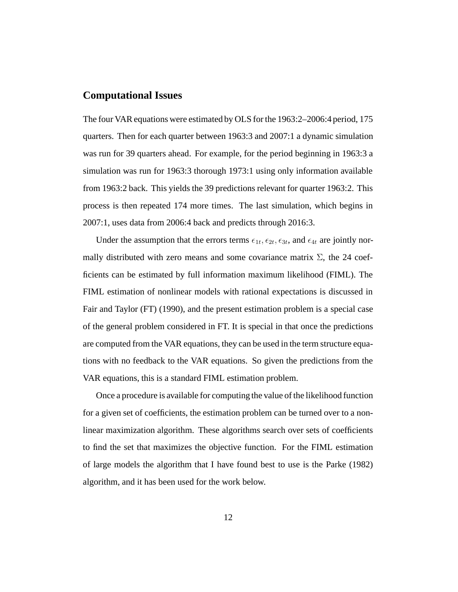### **Computational Issues**

The four VAR equations were estimated by OLS for the 1963:2–2006:4 period, 175 quarters. Then for each quarter between 1963:3 and 2007:1 a dynamic simulation was run for 39 quarters ahead. For example, for the period beginning in 1963:3 a simulation was run for 1963:3 thorough 1973:1 using only information available from 1963:2 back. This yields the 39 predictions relevant for quarter 1963:2. This process is then repeated 174 more times. The last simulation, which begins in 2007:1, uses data from 2006:4 back and predicts through 2016:3.

Under the assumption that the errors terms  $\epsilon_{1t}, \epsilon_{2t}, \epsilon_{3t}$ , and  $\epsilon_{4t}$  are jointly normally distributed with zero means and some covariance matrix  $\Sigma$ , the 24 coefficients can be estimated by full information maximum likelihood (FIML). The FIML estimation of nonlinear models with rational expectations is discussed in Fair and Taylor (FT) (1990), and the present estimation problem is a special case of the general problem considered in FT. It is special in that once the predictions are computed from the VAR equations, they can be used in the term structure equations with no feedback to the VAR equations. So given the predictions from the VAR equations, this is a standard FIML estimation problem.

Once a procedure is available for computing the value of the likelihood function for a given set of coefficients, the estimation problem can be turned over to a nonlinear maximization algorithm. These algorithms search over sets of coefficients to find the set that maximizes the objective function. For the FIML estimation of large models the algorithm that I have found best to use is the Parke (1982) algorithm, and it has been used for the work below.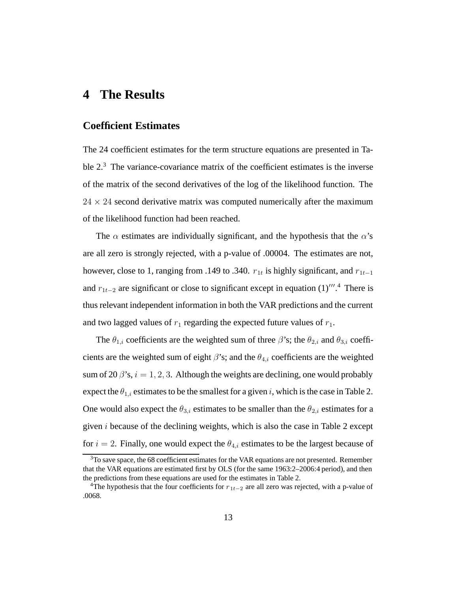# **4 The Results**

### **Coefficient Estimates**

The 24 coefficient estimates for the term structure equations are presented in Table 2.<sup>3</sup> The variance-covariance matrix of the coefficient estimates is the inverse of the matrix of the second derivatives of the log of the likelihood function. The  $24 \times 24$  second derivative matrix was computed numerically after the maximum of the likelihood function had been reached.

The  $\alpha$  estimates are individually significant, and the hypothesis that the  $\alpha$ 's are all zero is strongly rejected, with a p-value of .00004. The estimates are not, however, close to 1, ranging from .149 to .340.  $r_{1t}$  is highly significant, and  $r_{1t-1}$ and  $r_{1t-2}$  are significant or close to significant except in equation (1)<sup>*m*</sup>.<sup>4</sup> There is thus relevant independent information in both the VAR predictions and the current and two lagged values of  $r_1$  regarding the expected future values of  $r_1$ .

The  $\theta_{1,i}$  coefficients are the weighted sum of three  $\beta$ 's; the  $\theta_{2,i}$  and  $\theta_{3,i}$  coefficients are the weighted sum of eight  $\beta$ 's; and the  $\theta_{4,i}$  coefficients are the weighted sum of 20  $\beta$ 's,  $i = 1, 2, 3$ . Although the weights are declining, one would probably expect the  $\theta_{1,i}$  estimates to be the smallest for a given i, which is the case in Table 2. One would also expect the  $\theta_{3,i}$  estimates to be smaller than the  $\theta_{2,i}$  estimates for a given  $i$  because of the declining weights, which is also the case in Table 2 except for  $i = 2$ . Finally, one would expect the  $\theta_{4,i}$  estimates to be the largest because of

<sup>&</sup>lt;sup>3</sup>To save space, the 68 coefficient estimates for the VAR equations are not presented. Remember that the VAR equations are estimated first by OLS (for the same 1963:2–2006:4 period), and then the predictions from these equations are used for the estimates in Table 2.

<sup>&</sup>lt;sup>4</sup>The hypothesis that the four coefficients for  $r_{1t-2}$  are all zero was rejected, with a p-value of .0068.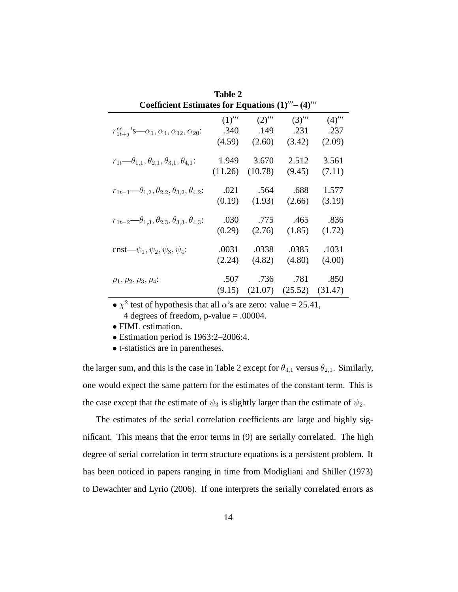| Table 2                                                                 |         |         |         |         |
|-------------------------------------------------------------------------|---------|---------|---------|---------|
| Coefficient Estimates for Equations $(1)'''-(4)'''$                     |         |         |         |         |
|                                                                         | (1)'''  | (2)'''  | (3)'''  | (4)'''  |
| $r_{1t+i}^{ee}$ 's— $\alpha_1, \alpha_4, \alpha_{12}, \alpha_{20}$ :    | .340    | .149    | .231    | .237    |
|                                                                         | (4.59)  | (2.60)  | (3.42)  | (2.09)  |
| $r_{1t}$ — $\theta_{1,1}, \theta_{2,1}, \theta_{3,1}, \theta_{4,1}$ :   | 1.949   | 3.670   | 2.512   | 3.561   |
|                                                                         | (11.26) | (10.78) | (9.45)  | (7.11)  |
| $r_{1t-1}$ $\theta_{1,2}, \theta_{2,2}, \theta_{3,2}, \theta_{4,2}$ :   | .021    | .564    | .688    | 1.577   |
|                                                                         | (0.19)  | (1.93)  | (2.66)  | (3.19)  |
| $r_{1t-2}$ — $\theta_{1,3}, \theta_{2,3}, \theta_{3,3}, \theta_{4,3}$ : | .030    | .775    | .465    | .836    |
|                                                                         | (0.29)  | (2.76)  | (1.85)  | (1.72)  |
| cnst— $\psi_1, \psi_2, \psi_3, \psi_4$ :                                | .0031   | .0338   | .0385   | .1031   |
|                                                                         | (2.24)  | (4.82)  | (4.80)  | (4.00)  |
| $\rho_1, \rho_2, \rho_3, \rho_4$                                        | .507    | .736    | .781    | .850    |
|                                                                         | (9.15)  | (21.07) | (25.52) | (31.47) |

•  $\chi^2$  test of hypothesis that all  $\alpha$ 's are zero: value = 25.41, 4 degrees of freedom, p-value = .00004.

• FIML estimation.

• Estimation period is 1963:2–2006:4.

• t-statistics are in parentheses.

the larger sum, and this is the case in Table 2 except for  $\theta_{4,1}$  versus  $\theta_{2,1}$ . Similarly, one would expect the same pattern for the estimates of the constant term. This is the case except that the estimate of  $\psi_3$  is slightly larger than the estimate of  $\psi_2$ .

The estimates of the serial correlation coefficients are large and highly significant. This means that the error terms in (9) are serially correlated. The high degree of serial correlation in term structure equations is a persistent problem. It has been noticed in papers ranging in time from Modigliani and Shiller (1973) to Dewachter and Lyrio (2006). If one interprets the serially correlated errors as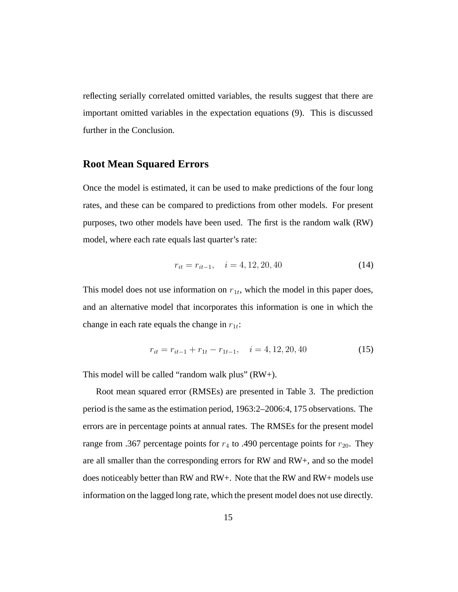reflecting serially correlated omitted variables, the results suggest that there are important omitted variables in the expectation equations (9). This is discussed further in the Conclusion.

### **Root Mean Squared Errors**

Once the model is estimated, it can be used to make predictions of the four long rates, and these can be compared to predictions from other models. For present purposes, two other models have been used. The first is the random walk (RW) model, where each rate equals last quarter's rate:

$$
r_{it} = r_{it-1}, \quad i = 4, 12, 20, 40 \tag{14}
$$

This model does not use information on  $r_{1t}$ , which the model in this paper does, and an alternative model that incorporates this information is one in which the change in each rate equals the change in  $r_{1t}$ :

$$
r_{it} = r_{it-1} + r_{1t} - r_{1t-1}, \quad i = 4, 12, 20, 40 \tag{15}
$$

This model will be called "random walk plus"  $(RW+)$ .

Root mean squared error (RMSEs) are presented in Table 3. The prediction period is the same as the estimation period, 1963:2–2006:4, 175 observations. The errors are in percentage points at annual rates. The RMSEs for the present model range from .367 percentage points for  $r_4$  to .490 percentage points for  $r_{20}$ . They are all smaller than the corresponding errors for RW and RW+, and so the model does noticeably better than RW and RW+. Note that the RW and RW+ models use information on the lagged long rate, which the present model does not use directly.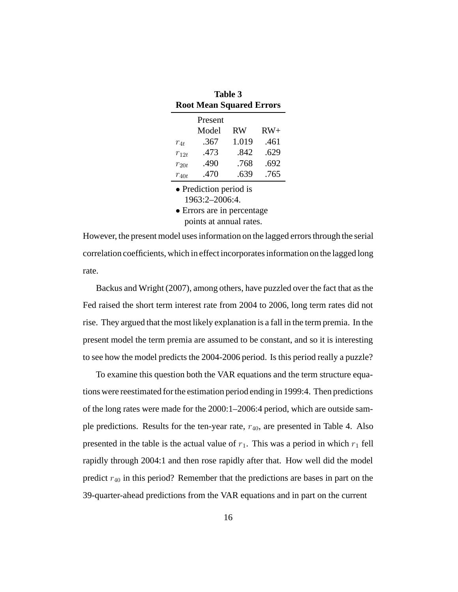| <b>Table 3</b>                  |         |       |       |
|---------------------------------|---------|-------|-------|
| <b>Root Mean Squared Errors</b> |         |       |       |
|                                 | Present |       |       |
|                                 | Model   | RW    | $RW+$ |
| $r_{4t}$                        | .367    | 1.019 | .461  |
| $r_{12t}$                       | .473    | .842  | .629  |
| $r_{20t}$                       | .490    | .768  | .692  |
| $r_{40t}$                       | .470    | .639  | .765  |
| • Prediction period is          |         |       |       |
| 1963:2-2006:4.                  |         |       |       |

• Errors are in percentage points at annual rates.

However, the present model uses information on the lagged errors through the serial correlation coefficients, which in effect incorporates information on the lagged long rate.

Backus and Wright (2007), among others, have puzzled over the fact that as the Fed raised the short term interest rate from 2004 to 2006, long term rates did not rise. They argued that the most likely explanation is a fall in the term premia. In the present model the term premia are assumed to be constant, and so it is interesting to see how the model predicts the 2004-2006 period. Is this period really a puzzle?

To examine this question both the VAR equations and the term structure equations were reestimated for the estimation period ending in 1999:4. Then predictions of the long rates were made for the 2000:1–2006:4 period, which are outside sample predictions. Results for the ten-year rate,  $r_{40}$ , are presented in Table 4. Also presented in the table is the actual value of  $r_1$ . This was a period in which  $r_1$  fell rapidly through 2004:1 and then rose rapidly after that. How well did the model predict  $r_{40}$  in this period? Remember that the predictions are bases in part on the 39-quarter-ahead predictions from the VAR equations and in part on the current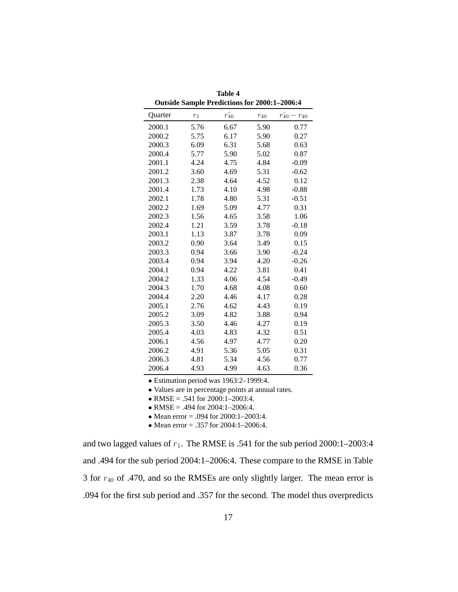|         |       | <b>Outside Sample Predictions for 2000:1-2006:4</b> |          |                              |
|---------|-------|-----------------------------------------------------|----------|------------------------------|
| Quarter | $r_1$ | $\hat{r_{40}}$                                      | $r_{40}$ | $\hat{r_{40}}$<br>$- r_{40}$ |
| 2000.1  | 5.76  | 6.67                                                | 5.90     | 0.77                         |
| 2000.2  | 5.75  | 6.17                                                | 5.90     | 0.27                         |
| 2000.3  | 6.09  | 6.31                                                | 5.68     | 0.63                         |
| 2000.4  | 5.77  | 5.90                                                | 5.02     | 0.87                         |
| 2001.1  | 4.24  | 4.75                                                | 4.84     | $-0.09$                      |
| 2001.2  | 3.60  | 4.69                                                | 5.31     | $-0.62$                      |
| 2001.3  | 2.38  | 4.64                                                | 4.52     | 0.12                         |
| 2001.4  | 1.73  | 4.10                                                | 4.98     | $-0.88$                      |
| 2002.1  | 1.78  | 4.80                                                | 5.31     | $-0.51$                      |
| 2002.2  | 1.69  | 5.09                                                | 4.77     | 0.31                         |
| 2002.3  | 1.56  | 4.65                                                | 3.58     | 1.06                         |
| 2002.4  | 1.21  | 3.59                                                | 3.78     | $-0.18$                      |
| 2003.1  | 1.13  | 3.87                                                | 3.78     | 0.09                         |
| 2003.2  | 0.90  | 3.64                                                | 3.49     | 0.15                         |
| 2003.3  | 0.94  | 3.66                                                | 3.90     | $-0.24$                      |
| 2003.4  | 0.94  | 3.94                                                | 4.20     | $-0.26$                      |
| 2004.1  | 0.94  | 4.22                                                | 3.81     | 0.41                         |
| 2004.2  | 1.33  | 4.06                                                | 4.54     | $-0.49$                      |
| 2004.3  | 1.70  | 4.68                                                | 4.08     | 0.60                         |
| 2004.4  | 2.20  | 4.46                                                | 4.17     | 0.28                         |
| 2005.1  | 2.76  | 4.62                                                | 4.43     | 0.19                         |
| 2005.2  | 3.09  | 4.82                                                | 3.88     | 0.94                         |
| 2005.3  | 3.50  | 4.46                                                | 4.27     | 0.19                         |
| 2005.4  | 4.03  | 4.83                                                | 4.32     | 0.51                         |
| 2006.1  | 4.56  | 4.97                                                | 4.77     | 0.20                         |
| 2006.2  | 4.91  | 5.36                                                | 5.05     | 0.31                         |
| 2006.3  | 4.81  | 5.34                                                | 4.56     | 0.77                         |
| 2006.4  | 4.93  | 4.99                                                | 4.63     | 0.36                         |

**Table 4**

• Estimation period was 1963:2–1999:4.

• Values are in percentage points at annual rates.

• RMSE = .541 for  $2000:1-2003:4$ .

• RMSE = .494 for  $2004:1-2006:4$ .

• Mean error = .094 for 2000:1-2003:4.

• Mean error = .357 for 2004:1-2006:4.

and two lagged values of  $r_1$ . The RMSE is .541 for the sub period 2000:1–2003:4 and .494 for the sub period 2004:1–2006:4. These compare to the RMSE in Table 3 for  $r_{40}$  of .470, and so the RMSEs are only slightly larger. The mean error is .094 for the first sub period and .357 for the second. The model thus overpredicts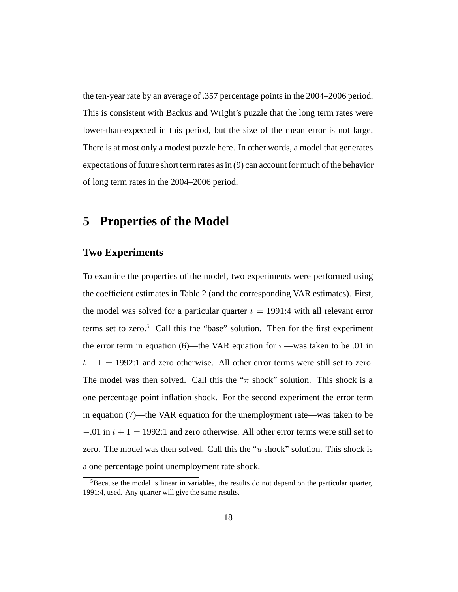the ten-year rate by an average of .357 percentage points in the 2004–2006 period. This is consistent with Backus and Wright's puzzle that the long term rates were lower-than-expected in this period, but the size of the mean error is not large. There is at most only a modest puzzle here. In other words, a model that generates expectations of future short term rates as in (9) can account for much of the behavior of long term rates in the 2004–2006 period.

## **5 Properties of the Model**

### **Two Experiments**

To examine the properties of the model, two experiments were performed using the coefficient estimates in Table 2 (and the corresponding VAR estimates). First, the model was solved for a particular quarter  $t = 1991:4$  with all relevant error terms set to zero. $5$  Call this the "base" solution. Then for the first experiment the error term in equation (6)—the VAR equation for  $\pi$ —was taken to be .01 in  $t + 1 = 1992$ :1 and zero otherwise. All other error terms were still set to zero. The model was then solved. Call this the " $\pi$  shock" solution. This shock is a one percentage point inflation shock. For the second experiment the error term in equation (7)—the VAR equation for the unemployment rate—was taken to be  $-0.01$  in  $t + 1 = 1992$ :1 and zero otherwise. All other error terms were still set to zero. The model was then solved. Call this the " $u$  shock" solution. This shock is a one percentage point unemployment rate shock.

 $<sup>5</sup>$ Because the model is linear in variables, the results do not depend on the particular quarter,</sup> 1991:4, used. Any quarter will give the same results.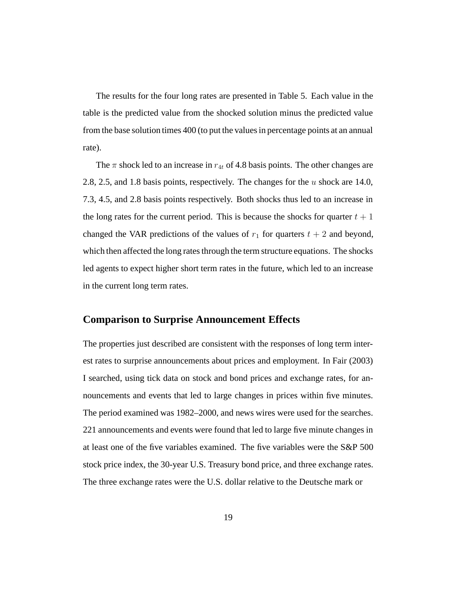The results for the four long rates are presented in Table 5. Each value in the table is the predicted value from the shocked solution minus the predicted value from the base solution times 400 (to put the values in percentage points at an annual rate).

The  $\pi$  shock led to an increase in  $r_{4t}$  of 4.8 basis points. The other changes are 2.8, 2.5, and 1.8 basis points, respectively. The changes for the u shock are 14.0, 7.3, 4.5, and 2.8 basis points respectively. Both shocks thus led to an increase in the long rates for the current period. This is because the shocks for quarter  $t + 1$ changed the VAR predictions of the values of  $r_1$  for quarters  $t + 2$  and beyond, which then affected the long rates through the term structure equations. The shocks led agents to expect higher short term rates in the future, which led to an increase in the current long term rates.

### **Comparison to Surprise Announcement Effects**

The properties just described are consistent with the responses of long term interest rates to surprise announcements about prices and employment. In Fair (2003) I searched, using tick data on stock and bond prices and exchange rates, for announcements and events that led to large changes in prices within five minutes. The period examined was 1982–2000, and news wires were used for the searches. 221 announcements and events were found that led to large five minute changes in at least one of the five variables examined. The five variables were the S&P 500 stock price index, the 30-year U.S. Treasury bond price, and three exchange rates. The three exchange rates were the U.S. dollar relative to the Deutsche mark or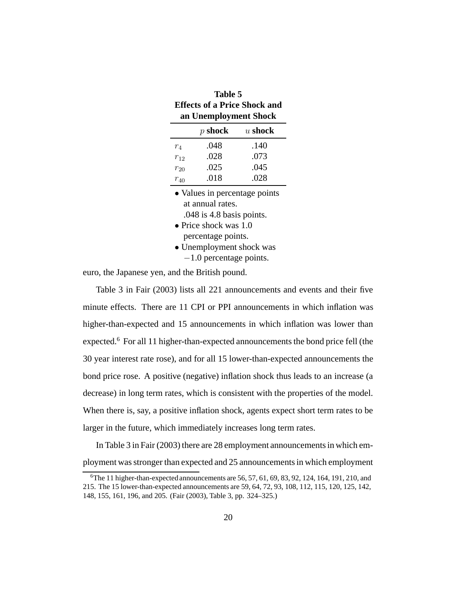| тане э                              |           |           |  |  |
|-------------------------------------|-----------|-----------|--|--|
| <b>Effects of a Price Shock and</b> |           |           |  |  |
| an Unemployment Shock               |           |           |  |  |
|                                     | $p$ shock | $u$ shock |  |  |
| $r_4$                               | .048      | .140      |  |  |
| $r_{12}$                            | .028      | .073      |  |  |
| $r_{20}$                            | .025      | .045      |  |  |
| $r_{40}$                            | .018      | .028      |  |  |
| • Values in percentage points       |           |           |  |  |
| at annual rates.                    |           |           |  |  |
| $.048$ is 4.8 basis points.         |           |           |  |  |
| • Price shock was $1.0$             |           |           |  |  |
| percentage points.                  |           |           |  |  |
| • Unemployment shock was            |           |           |  |  |
|                                     |           |           |  |  |

**Table 5**

−1.0 percentage points.

euro, the Japanese yen, and the British pound.

Table 3 in Fair (2003) lists all 221 announcements and events and their five minute effects. There are 11 CPI or PPI announcements in which inflation was higher-than-expected and 15 announcements in which inflation was lower than expected.<sup>6</sup> For all 11 higher-than-expected announcements the bond price fell (the 30 year interest rate rose), and for all 15 lower-than-expected announcements the bond price rose. A positive (negative) inflation shock thus leads to an increase (a decrease) in long term rates, which is consistent with the properties of the model. When there is, say, a positive inflation shock, agents expect short term rates to be larger in the future, which immediately increases long term rates.

In Table 3 in Fair (2003) there are 28 employment announcements in which employment was stronger than expected and 25 announcements in which employment

 $6$ The 11 higher-than-expected announcements are 56, 57, 61, 69, 83, 92, 124, 164, 191, 210, and 215. The 15 lower-than-expected announcements are 59, 64, 72, 93, 108, 112, 115, 120, 125, 142, 148, 155, 161, 196, and 205. (Fair (2003), Table 3, pp. 324–325.)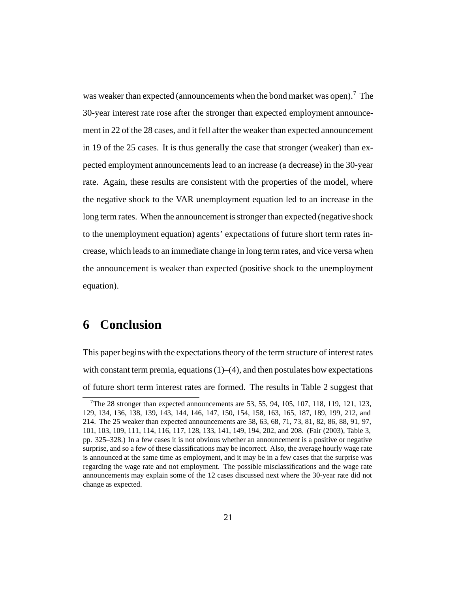was weaker than expected (announcements when the bond market was open).<sup>7</sup> The 30-year interest rate rose after the stronger than expected employment announcement in 22 of the 28 cases, and it fell after the weaker than expected announcement in 19 of the 25 cases. It is thus generally the case that stronger (weaker) than expected employment announcements lead to an increase (a decrease) in the 30-year rate. Again, these results are consistent with the properties of the model, where the negative shock to the VAR unemployment equation led to an increase in the long term rates. When the announcement is stronger than expected (negative shock to the unemployment equation) agents' expectations of future short term rates increase, which leads to an immediate change in long term rates, and vice versa when the announcement is weaker than expected (positive shock to the unemployment equation).

# **6 Conclusion**

This paper begins with the expectations theory of the term structure of interest rates with constant term premia, equations  $(1)$ – $(4)$ , and then postulates how expectations of future short term interest rates are formed. The results in Table 2 suggest that

<sup>&</sup>lt;sup>7</sup>The 28 stronger than expected announcements are 53, 55, 94, 105, 107, 118, 119, 121, 123, 129, 134, 136, 138, 139, 143, 144, 146, 147, 150, 154, 158, 163, 165, 187, 189, 199, 212, and 214. The 25 weaker than expected announcements are 58, 63, 68, 71, 73, 81, 82, 86, 88, 91, 97, 101, 103, 109, 111, 114, 116, 117, 128, 133, 141, 149, 194, 202, and 208. (Fair (2003), Table 3, pp. 325–328.) In a few cases it is not obvious whether an announcement is a positive or negative surprise, and so a few of these classifications may be incorrect. Also, the average hourly wage rate is announced at the same time as employment, and it may be in a few cases that the surprise was regarding the wage rate and not employment. The possible misclassifications and the wage rate announcements may explain some of the 12 cases discussed next where the 30-year rate did not change as expected.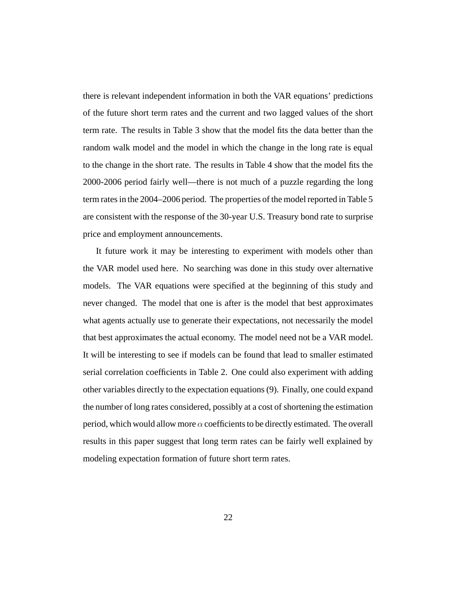there is relevant independent information in both the VAR equations' predictions of the future short term rates and the current and two lagged values of the short term rate. The results in Table 3 show that the model fits the data better than the random walk model and the model in which the change in the long rate is equal to the change in the short rate. The results in Table 4 show that the model fits the 2000-2006 period fairly well—there is not much of a puzzle regarding the long term rates in the 2004–2006 period. The properties of the model reported in Table 5 are consistent with the response of the 30-year U.S. Treasury bond rate to surprise price and employment announcements.

It future work it may be interesting to experiment with models other than the VAR model used here. No searching was done in this study over alternative models. The VAR equations were specified at the beginning of this study and never changed. The model that one is after is the model that best approximates what agents actually use to generate their expectations, not necessarily the model that best approximates the actual economy. The model need not be a VAR model. It will be interesting to see if models can be found that lead to smaller estimated serial correlation coefficients in Table 2. One could also experiment with adding other variables directly to the expectation equations (9). Finally, one could expand the number of long rates considered, possibly at a cost of shortening the estimation period, which would allow more  $\alpha$  coefficients to be directly estimated. The overall results in this paper suggest that long term rates can be fairly well explained by modeling expectation formation of future short term rates.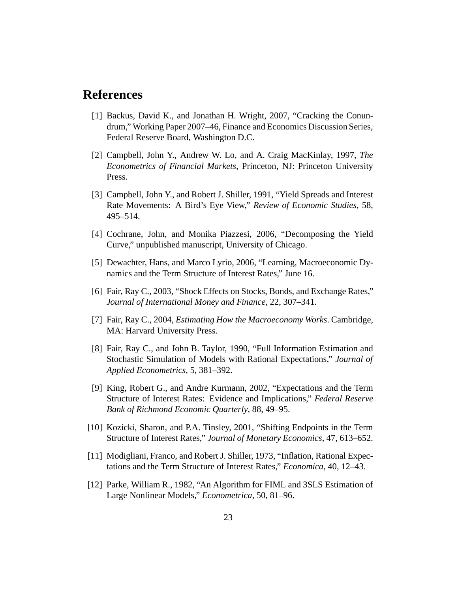# **References**

- [1] Backus, David K., and Jonathan H. Wright, 2007, "Cracking the Conundrum," Working Paper 2007–46, Finance and Economics Discussion Series, Federal Reserve Board, Washington D.C.
- [2] Campbell, John Y., Andrew W. Lo, and A. Craig MacKinlay, 1997, *The Econometrics of Financial Markets*, Princeton, NJ: Princeton University Press.
- [3] Campbell, John Y., and Robert J. Shiller, 1991, "Yield Spreads and Interest Rate Movements: A Bird's Eye View," *Review of Economic Studies*, 58, 495–514.
- [4] Cochrane, John, and Monika Piazzesi, 2006, "Decomposing the Yield Curve," unpublished manuscript, University of Chicago.
- [5] Dewachter, Hans, and Marco Lyrio, 2006, "Learning, Macroeconomic Dynamics and the Term Structure of Interest Rates," June 16.
- [6] Fair, Ray C., 2003, "Shock Effects on Stocks, Bonds, and Exchange Rates," *Journal of International Money and Finance*, 22, 307–341.
- [7] Fair, Ray C., 2004, *Estimating How the Macroeconomy Works*. Cambridge, MA: Harvard University Press.
- [8] Fair, Ray C., and John B. Taylor, 1990, "Full Information Estimation and Stochastic Simulation of Models with Rational Expectations," *Journal of Applied Econometrics*, 5, 381–392.
- [9] King, Robert G., and Andre Kurmann, 2002, "Expectations and the Term Structure of Interest Rates: Evidence and Implications," *Federal Reserve Bank of Richmond Economic Quarterly*, 88, 49–95.
- [10] Kozicki, Sharon, and P.A. Tinsley, 2001, "Shifting Endpoints in the Term Structure of Interest Rates," *Journal of Monetary Economics*, 47, 613–652.
- [11] Modigliani, Franco, and Robert J. Shiller, 1973, "Inflation, Rational Expectations and the Term Structure of Interest Rates," *Economica*, 40, 12–43.
- [12] Parke, William R., 1982, "An Algorithm for FIML and 3SLS Estimation of Large Nonlinear Models," *Econometrica*, 50, 81–96.